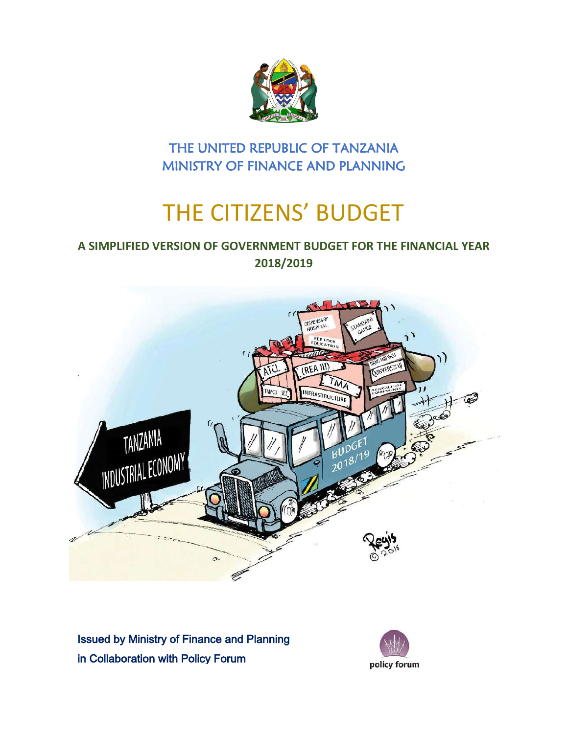

### THE UNITED REPUBLIC OF TANZANIA MINISTRY OF FINANCE AND PLANNING

# THE CITIZENS' BUDGET

### **A SIMPLIFIED VERSION OF GOVERNMENT BUDGET FOR THE FINANCIAL YEAR 2018/2019**



Issued by Ministry of Finance and Planning in Collaboration with Policy Forum

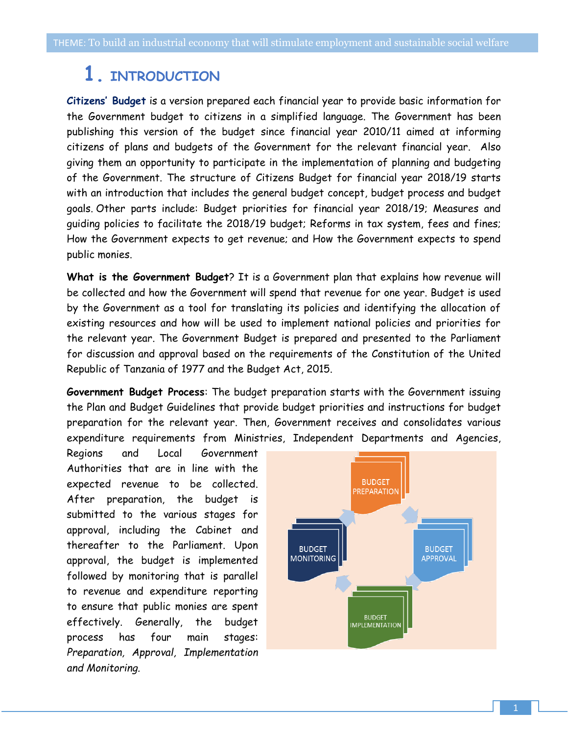### **1. INTRODUCTION**

**Citizens' Budget** is a version prepared each financial year to provide basic information for the Government budget to citizens in a simplified language. The Government has been publishing this version of the budget since financial year 2010/11 aimed at informing citizens of plans and budgets of the Government for the relevant financial year. Also giving them an opportunity to participate in the implementation of planning and budgeting of the Government. The structure of Citizens Budget for financial year 2018/19 starts with an introduction that includes the general budget concept, budget process and budget goals. Other parts include: Budget priorities for financial year 2018/19; Measures and guiding policies to facilitate the 2018/19 budget; Reforms in tax system, fees and fines; How the Government expects to get revenue; and How the Government expects to spend public monies.

**What is the Government Budget**? It is a Government plan that explains how revenue will be collected and how the Government will spend that revenue for one year. Budget is used by the Government as a tool for translating its policies and identifying the allocation of existing resources and how will be used to implement national policies and priorities for the relevant year. The Government Budget is prepared and presented to the Parliament for discussion and approval based on the requirements of the Constitution of the United Republic of Tanzania of 1977 and the Budget Act, 2015.

**Government Budget Process**: The budget preparation starts with the Government issuing the Plan and Budget Guidelines that provide budget priorities and instructions for budget preparation for the relevant year. Then, Government receives and consolidates various expenditure requirements from Ministries, Independent Departments and Agencies,

Regions and Local Government Authorities that are in line with the expected revenue to be collected. After preparation, the budget is submitted to the various stages for approval, including the Cabinet and thereafter to the Parliament. Upon approval, the budget is implemented followed by monitoring that is parallel to revenue and expenditure reporting to ensure that public monies are spent effectively. Generally, the budget process has four main stages: *Preparation, Approval, Implementation and Monitoring.*

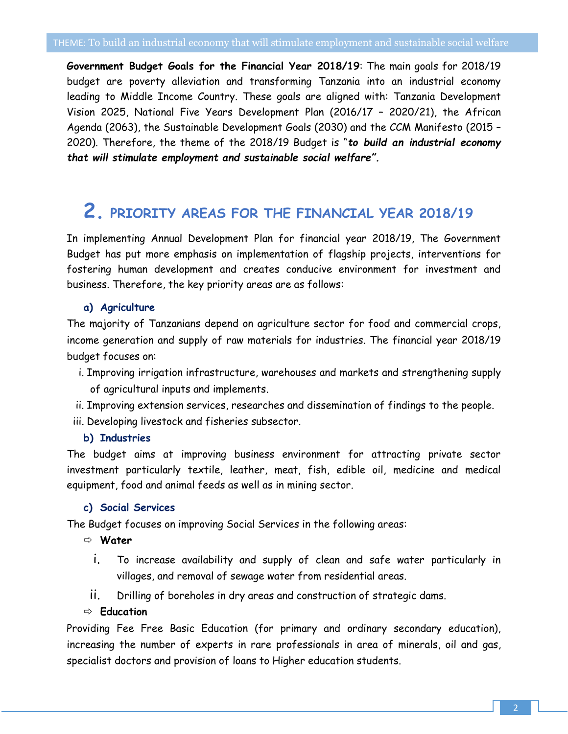**Government Budget Goals for the Financial Year 2018/19**: The main goals for 2018/19 budget are poverty alleviation and transforming Tanzania into an industrial economy leading to Middle Income Country. These goals are aligned with: Tanzania Development Vision 2025, National Five Years Development Plan (2016/17 – 2020/21), the African Agenda (2063), the Sustainable Development Goals (2030) and the CCM Manifesto (2015 – 2020). Therefore, the theme of the 2018/19 Budget is "*to build an industrial economy that will stimulate employment and sustainable social welfare".*

## **2. PRIORITY AREAS FOR THE FINANCIAL YEAR 2018/19**

In implementing Annual Development Plan for financial year 2018/19, The Government Budget has put more emphasis on implementation of flagship projects, interventions for fostering human development and creates conducive environment for investment and business. Therefore, the key priority areas are as follows:

#### **a) Agriculture**

The majority of Tanzanians depend on agriculture sector for food and commercial crops, income generation and supply of raw materials for industries. The financial year 2018/19 budget focuses on:

- i. Improving irrigation infrastructure, warehouses and markets and strengthening supply of agricultural inputs and implements.
- ii. Improving extension services, researches and dissemination of findings to the people.
- iii. Developing livestock and fisheries subsector.

#### **b) Industries**

The budget aims at improving business environment for attracting private sector investment particularly textile, leather, meat, fish, edible oil, medicine and medical equipment, food and animal feeds as well as in mining sector.

#### **c) Social Services**

The Budget focuses on improving Social Services in the following areas:

- **Water**
	- i. To increase availability and supply of clean and safe water particularly in villages, and removal of sewage water from residential areas.
- ii. Drilling of boreholes in dry areas and construction of strategic dams.

#### **Education**

Providing Fee Free Basic Education (for primary and ordinary secondary education), increasing the number of experts in rare professionals in area of minerals, oil and gas, specialist doctors and provision of loans to Higher education students.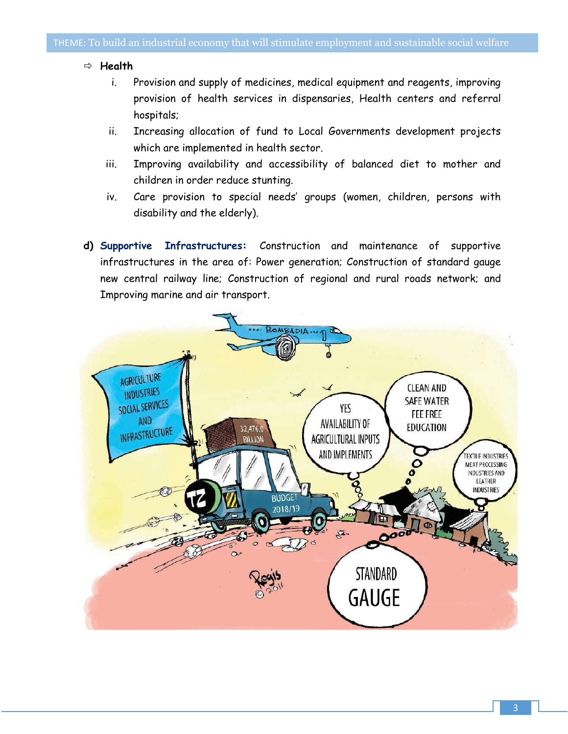#### **Health**

- i. Provision and supply of medicines, medical equipment and reagents, improving provision of health services in dispensaries, Health centers and referral hospitals;
- ii. Increasing allocation of fund to Local Governments development projects which are implemented in health sector.
- iii. Improving availability and accessibility of balanced diet to mother and children in order reduce stunting.
- iv. Care provision to special needs' groups (women, children, persons with disability and the elderly).
- **d) Supportive Infrastructures:** Construction and maintenance of supportive infrastructures in the area of: Power generation; Construction of standard gauge new central railway line; Construction of regional and rural roads network; and Improving marine and air transport.

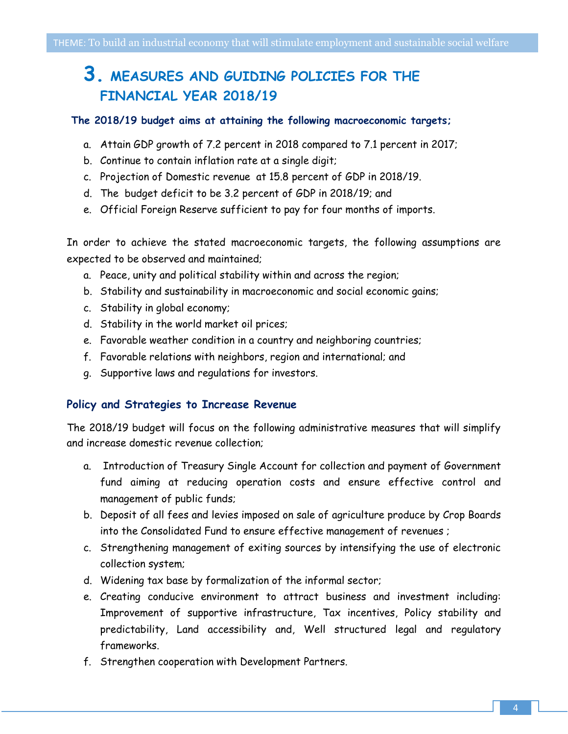### **3. MEASURES AND GUIDING POLICIES FOR THE FINANCIAL YEAR 2018/19**

#### **The 2018/19 budget aims at attaining the following macroeconomic targets;**

- a. Attain GDP growth of 7.2 percent in 2018 compared to 7.1 percent in 2017;
- b. Continue to contain inflation rate at a single digit;
- c. Projection of Domestic revenue at 15.8 percent of GDP in 2018/19.
- d. The budget deficit to be 3.2 percent of GDP in 2018/19; and
- e. Official Foreign Reserve sufficient to pay for four months of imports.

In order to achieve the stated macroeconomic targets, the following assumptions are expected to be observed and maintained;

- a. Peace, unity and political stability within and across the region;
- b. Stability and sustainability in macroeconomic and social economic gains;
- c. Stability in global economy;
- d. Stability in the world market oil prices;
- e. Favorable weather condition in a country and neighboring countries;
- f. Favorable relations with neighbors, region and international; and
- g. Supportive laws and regulations for investors.

#### **Policy and Strategies to Increase Revenue**

The 2018/19 budget will focus on the following administrative measures that will simplify and increase domestic revenue collection;

- a. Introduction of Treasury Single Account for collection and payment of Government fund aiming at reducing operation costs and ensure effective control and management of public funds;
- b. Deposit of all fees and levies imposed on sale of agriculture produce by Crop Boards into the Consolidated Fund to ensure effective management of revenues ;
- c. Strengthening management of exiting sources by intensifying the use of electronic collection system;
- d. Widening tax base by formalization of the informal sector;
- e. Creating conducive environment to attract business and investment including: Improvement of supportive infrastructure, Tax incentives, Policy stability and predictability, Land accessibility and, Well structured legal and regulatory frameworks.
- f. Strengthen cooperation with Development Partners.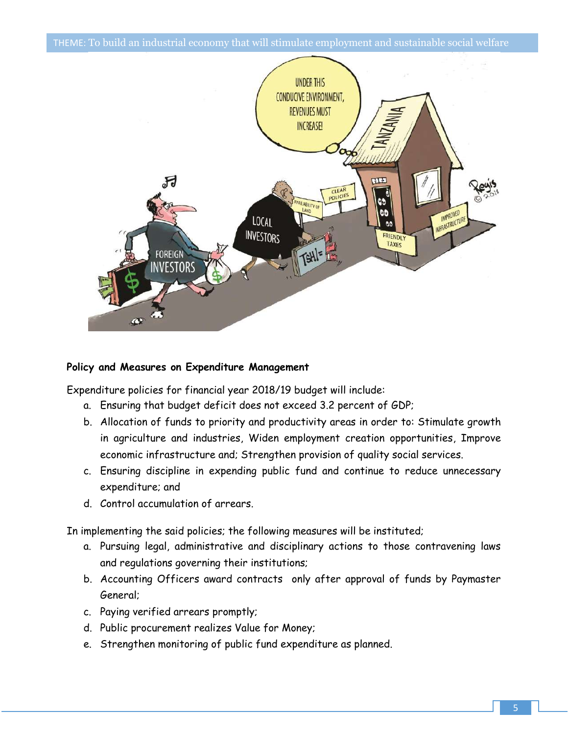

#### **Policy and Measures on Expenditure Management**

Expenditure policies for financial year 2018/19 budget will include:

- a. Ensuring that budget deficit does not exceed 3.2 percent of GDP;
- b. Allocation of funds to priority and productivity areas in order to: Stimulate growth in agriculture and industries, Widen employment creation opportunities, Improve economic infrastructure and; Strengthen provision of quality social services.
- c. Ensuring discipline in expending public fund and continue to reduce unnecessary expenditure; and
- d. Control accumulation of arrears.

In implementing the said policies; the following measures will be instituted;

- a. Pursuing legal, administrative and disciplinary actions to those contravening laws and regulations governing their institutions;
- b. Accounting Officers award contracts only after approval of funds by Paymaster General;
- c. Paying verified arrears promptly;
- d. Public procurement realizes Value for Money;
- e. Strengthen monitoring of public fund expenditure as planned.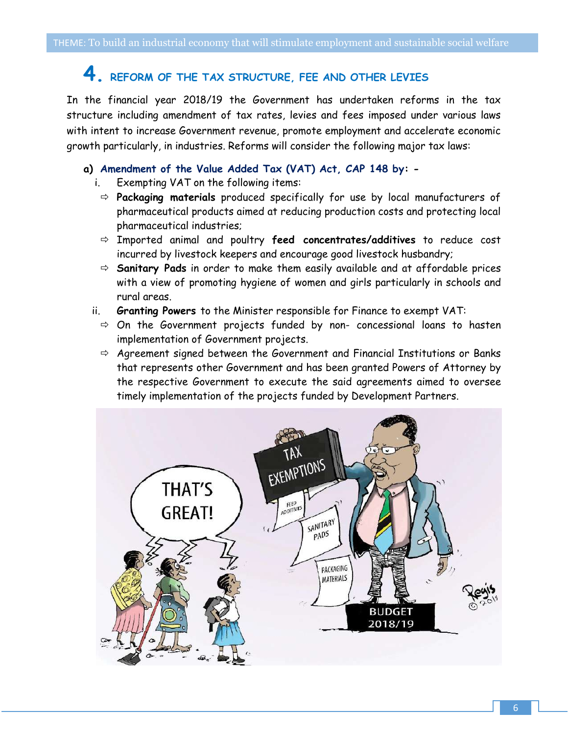### **4. REFORM OF THE TAX STRUCTURE, FEE AND OTHER LEVIES**

In the financial year 2018/19 the Government has undertaken reforms in the tax structure including amendment of tax rates, levies and fees imposed under various laws with intent to increase Government revenue, promote employment and accelerate economic growth particularly, in industries. Reforms will consider the following major tax laws:

- **a) Amendment of the Value Added Tax (VAT) Act, CAP 148 by:** 
	- i. Exempting VAT on the following items:
		- **Packaging materials** produced specifically for use by local manufacturers of pharmaceutical products aimed at reducing production costs and protecting local pharmaceutical industries;
		- Imported animal and poultry **feed concentrates/additives** to reduce cost incurred by livestock keepers and encourage good livestock husbandry;
		- **Sanitary Pads** in order to make them easily available and at affordable prices with a view of promoting hygiene of women and girls particularly in schools and rural areas.
	- ii. **Granting Powers** to the Minister responsible for Finance to exempt VAT:
		- $\Rightarrow$  On the Government projects funded by non- concessional loans to hasten implementation of Government projects.
		- $\Rightarrow$  Agreement signed between the Government and Financial Institutions or Banks that represents other Government and has been granted Powers of Attorney by the respective Government to execute the said agreements aimed to oversee timely implementation of the projects funded by Development Partners.

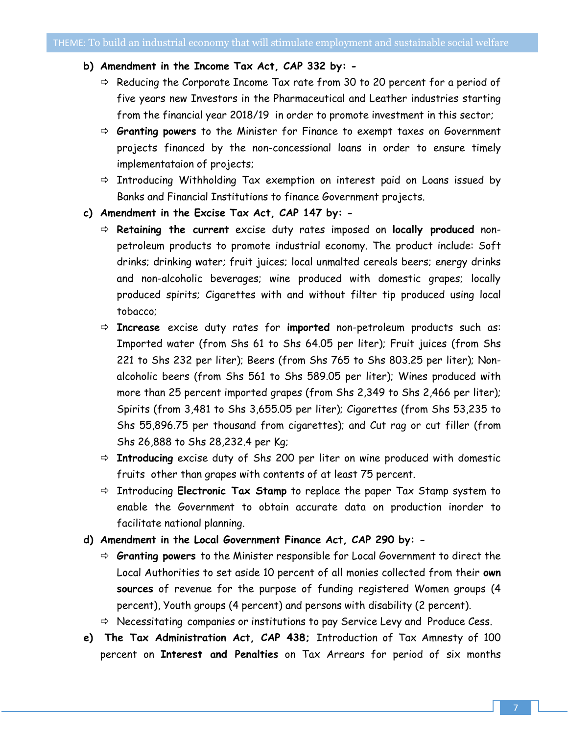#### **b) Amendment in the Income Tax Act, CAP 332 by: -**

- $\Rightarrow$  Reducing the Corporate Income Tax rate from 30 to 20 percent for a period of five years new Investors in the Pharmaceutical and Leather industries starting from the financial year 2018/19 in order to promote investment in this sector;
- **Granting powers** to the Minister for Finance to exempt taxes on Government projects financed by the non-concessional loans in order to ensure timely implementataion of projects;
- $\Rightarrow$  Introducing Withholding Tax exemption on interest paid on Loans issued by Banks and Financial Institutions to finance Government projects.
- **c) Amendment in the Excise Tax Act, CAP 147 by: -**
	- **Retaining the current** excise duty rates imposed on **locally produced** nonpetroleum products to promote industrial economy. The product include: Soft drinks; drinking water; fruit juices; local unmalted cereals beers; energy drinks and non-alcoholic beverages; wine produced with domestic grapes; locally produced spirits; Cigarettes with and without filter tip produced using local tobacco;
	- **Increase** excise duty rates for **imported** non-petroleum products such as: Imported water (from Shs 61 to Shs 64.05 per liter); Fruit juices (from Shs 221 to Shs 232 per liter); Beers (from Shs 765 to Shs 803.25 per liter); Nonalcoholic beers (from Shs 561 to Shs 589.05 per liter); Wines produced with more than 25 percent imported grapes (from Shs 2,349 to Shs 2,466 per liter); Spirits (from 3,481 to Shs 3,655.05 per liter); Cigarettes (from Shs 53,235 to Shs 55,896.75 per thousand from cigarettes); and Cut rag or cut filler (from Shs 26,888 to Shs 28,232.4 per Kg;
	- **Introducing** excise duty of Shs 200 per liter on wine produced with domestic fruits other than grapes with contents of at least 75 percent.
	- $\Rightarrow$  Introducing **Electronic Tax Stamp** to replace the paper Tax Stamp system to enable the Government to obtain accurate data on production inorder to facilitate national planning.
- **d) Amendment in the Local Government Finance Act, CAP 290 by: -**
	- **Granting powers** to the Minister responsible for Local Government to direct the Local Authorities to set aside 10 percent of all monies collected from their **own sources** of revenue for the purpose of funding registered Women groups (4 percent), Youth groups (4 percent) and persons with disability (2 percent).
	- $\Rightarrow$  Necessitating companies or institutions to pay Service Levy and Produce Cess.
- **e) The Tax Administration Act, CAP 438;** Introduction of Tax Amnesty of 100 percent on **Interest and Penalties** on Tax Arrears for period of six months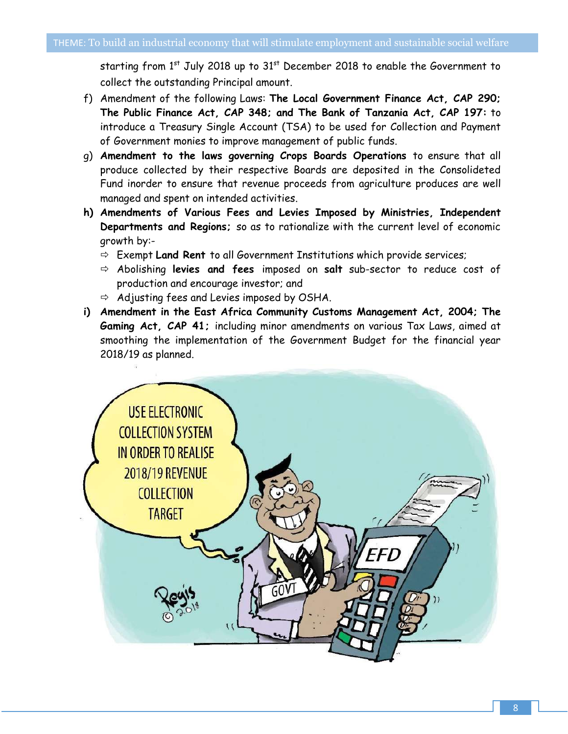starting from  $1^{st}$  July 2018 up to  $31^{st}$  December 2018 to enable the Government to collect the outstanding Principal amount.

- f) Amendment of the following Laws: **The Local Government Finance Act, CAP 290; The Public Finance Act, CAP 348; and The Bank of Tanzania Act, CAP 197:** to introduce a Treasury Single Account (TSA) to be used for Collection and Payment of Government monies to improve management of public funds.
- g) **Amendment to the laws governing Crops Boards Operations** to ensure that all produce collected by their respective Boards are deposited in the Consolideted Fund inorder to ensure that revenue proceeds from agriculture produces are well managed and spent on intended activities.
- **h) Amendments of Various Fees and Levies Imposed by Ministries, Independent Departments and Regions;** so as to rationalize with the current level of economic growth by:-
	- Exempt **Land Rent** to all Government Institutions which provide services;
	- Abolishing **levies and fees** imposed on **salt** sub-sector to reduce cost of production and encourage investor; and
	- $\Rightarrow$  Adjusting fees and Levies imposed by OSHA.
- **i) Amendment in the East Africa Community Customs Management Act, 2004; The Gaming Act, CAP 41;** including minor amendments on various Tax Laws, aimed at smoothing the implementation of the Government Budget for the financial year 2018/19 as planned.

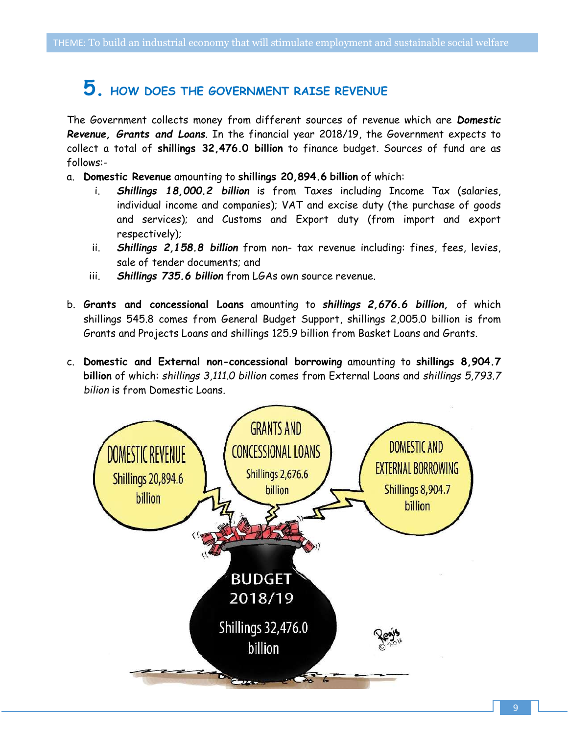## **5. HOW DOES THE GOVERNMENT RAISE REVENUE**

The Government collects money from different sources of revenue which are *Domestic Revenue, Grants and Loans*. In the financial year 2018/19, the Government expects to collect a total of **shillings 32,476.0 billion** to finance budget. Sources of fund are as follows:-

- a. **Domestic Revenue** amounting to **shillings 20,894.6 billion** of which:
	- i. *Shillings 18,000.2 billion* is from Taxes including Income Tax (salaries, individual income and companies); VAT and excise duty (the purchase of goods and services); and Customs and Export duty (from import and export respectively);
	- ii. *Shillings 2,158.8 billion* from non- tax revenue including: fines, fees, levies, sale of tender documents; and
	- iii. *Shillings 735.6 billion* from LGAs own source revenue.
- b. **Grants and concessional Loans** amounting to *shillings 2,676.6 billion,* of which shillings 545.8 comes from General Budget Support, shillings 2,005.0 billion is from Grants and Projects Loans and shillings 125.9 billion from Basket Loans and Grants.
- c. **Domestic and External non-concessional borrowing** amounting to **shillings 8,904.7 billion** of which: *shillings 3,111.0 billion* comes from External Loans and *shillings 5,793.7 bilion* is from Domestic Loans.

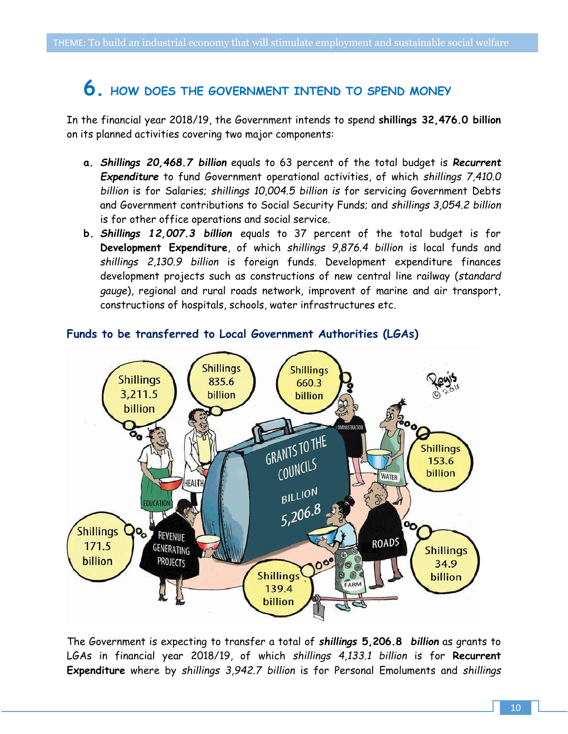### **6. HOW DOES THE GOVERNMENT INTEND TO SPEND MONEY**

In the financial year 2018/19, the Government intends to spend **shillings 32,476.0 billion** on its planned activities covering two major components:

- **a.** *Shillings 20,468.7 billion* equals to 63 percent of the total budget is *Recurrent Expenditure* to fund Government operational activities, of which *shillings 7,410.0 billion* is for Salaries; *shillings 10,004.5 billion is* for servicing Government Debts and Government contributions to Social Security Funds; and *shillings 3,054.2 billion*  is for other office operations and social service.
- **b.** *Shillings 12,007.3 billion* equals to 37 percent of the total budget is for **Development Expenditure**, of which *shillings 9,876.4 billion* is local funds and *shillings 2,130.9 billion* is foreign funds. Development expenditure finances development projects such as constructions of new central line railway (*standard gauge*), regional and rural roads network, improvent of marine and air transport, constructions of hospitals, schools, water infrastructures etc.



#### **Funds to be transferred to Local Government Authorities (LGAs)**

The Government is expecting to transfer a total of *shillings* **5,206.8** *billion* as grants to LGAs in financial year 2018/19, of which *shillings 4,133.1 billion* is for **Recurrent Expenditure** where by *shillings 3,942.7 billion* is for Personal Emoluments and *shillings*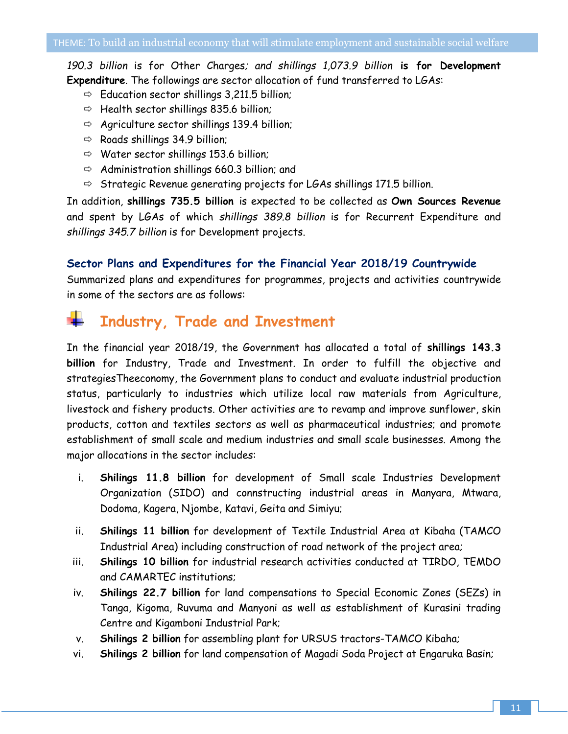*190.3 billion* is for Other Charges*; and shillings 1,073.9 billion* **is for Development Expenditure**. The followings are sector allocation of fund transferred to LGAs:

- $\Rightarrow$  Education sector shillings 3,211.5 billion;
- $\Rightarrow$  Health sector shillings 835.6 billion;
- $\Rightarrow$  Agriculture sector shillings 139.4 billion;
- $\Rightarrow$  Roads shillings 34.9 billion;
- $\Rightarrow$  Water sector shillings 153.6 billion;
- $\Rightarrow$  Administration shillings 660.3 billion; and
- $\Rightarrow$  Strategic Revenue generating projects for LGAs shillings 171.5 billion.

In addition, **shillings 735.5 billion** is expected to be collected as **Own Sources Revenue** and spent by LGAs of which *shillings 389.8 billion* is for Recurrent Expenditure and *shillings 345.7 billion* is for Development projects.

#### **Sector Plans and Expenditures for the Financial Year 2018/19 Countrywide**

Summarized plans and expenditures for programmes, projects and activities countrywide in some of the sectors are as follows:

### **Industry, Trade and Investment**

In the financial year 2018/19, the Government has allocated a total of **shillings 143.3 billion** for Industry, Trade and Investment. In order to fulfill the objective and strategiesTheeconomy, the Government plans to conduct and evaluate industrial production status, particularly to industries which utilize local raw materials from Agriculture, livestock and fishery products. Other activities are to revamp and improve sunflower, skin products, cotton and textiles sectors as well as pharmaceutical industries; and promote establishment of small scale and medium industries and small scale businesses. Among the major allocations in the sector includes:

- i. **Shilings 11.8 billion** for development of Small scale Industries Development Organization (SIDO) and connstructing industrial areas in Manyara, Mtwara, Dodoma, Kagera, Njombe, Katavi, Geita and Simiyu;
- ii. **Shilings 11 billion** for development of Textile Industrial Area at Kibaha (TAMCO Industrial Area) including construction of road network of the project area;
- iii. **Shilings 10 billion** for industrial research activities conducted at TIRDO, TEMDO and CAMARTEC institutions;
- iv. **Shilings 22.7 billion** for land compensations to Special Economic Zones (SEZs) in Tanga, Kigoma, Ruvuma and Manyoni as well as establishment of Kurasini trading Centre and Kigamboni Industrial Park;
- v. **Shilings 2 billion** for assembling plant for URSUS tractors-TAMCO Kibaha;
- vi. **Shilings 2 billion** for land compensation of Magadi Soda Project at Engaruka Basin;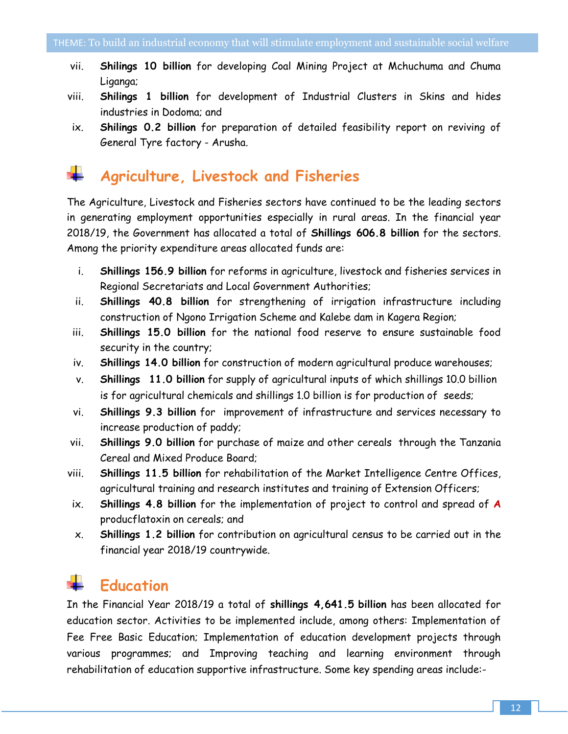- vii. **Shilings 10 billion** for developing Coal Mining Project at Mchuchuma and Chuma Liganga;
- viii. **Shilings 1 billion** for development of Industrial Clusters in Skins and hides industries in Dodoma; and
- ix. **Shilings 0.2 billion** for preparation of detailed feasibility report on reviving of General Tyre factory - Arusha.

### **Agriculture, Livestock and Fisheries**

The Agriculture, Livestock and Fisheries sectors have continued to be the leading sectors in generating employment opportunities especially in rural areas. In the financial year 2018/19, the Government has allocated a total of **Shillings 606.8 billion** for the sectors. Among the priority expenditure areas allocated funds are:

- i. **Shillings 156.9 billion** for reforms in agriculture, livestock and fisheries services in Regional Secretariats and Local Government Authorities;
- ii. **Shillings 40.8 billion** for strengthening of irrigation infrastructure including construction of Ngono Irrigation Scheme and Kalebe dam in Kagera Region;
- iii. **Shillings 15.0 billion** for the national food reserve to ensure sustainable food security in the country;
- iv. **Shillings 14.0 billion** for construction of modern agricultural produce warehouses;
- v. **Shillings 11.0 billion** for supply of agricultural inputs of which shillings 10.0 billion is for agricultural chemicals and shillings 1.0 billion is for production of seeds;
- vi. **Shillings 9.3 billion** for improvement of infrastructure and services necessary to increase production of paddy;
- vii. **Shillings 9.0 billion** for purchase of maize and other cereals through the Tanzania Cereal and Mixed Produce Board;
- viii. **Shillings 11.5 billion** for rehabilitation of the Market Intelligence Centre Offices, agricultural training and research institutes and training of Extension Officers;
- ix. **Shillings 4.8 billion** for the implementation of project to control and spread of **A** producflatoxin on cereals; and
- x. **Shillings 1.2 billion** for contribution on agricultural census to be carried out in the financial year 2018/19 countrywide.

## **Education**

In the Financial Year 2018/19 a total of **shillings 4,641.5 billion** has been allocated for education sector. Activities to be implemented include, among others: Implementation of Fee Free Basic Education; Implementation of education development projects through various programmes; and Improving teaching and learning environment through rehabilitation of education supportive infrastructure. Some key spending areas include:-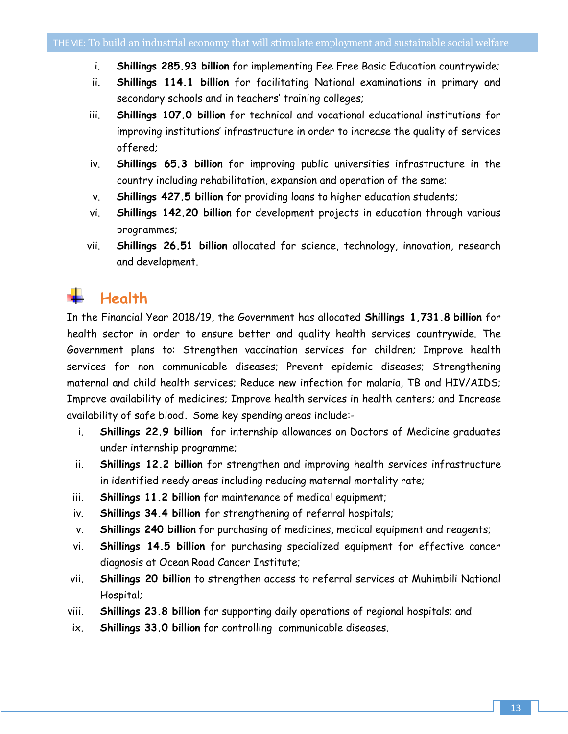- i. **Shillings 285.93 billion** for implementing Fee Free Basic Education countrywide;
- ii. **Shillings 114.1 billion** for facilitating National examinations in primary and secondary schools and in teachers' training colleges;
- iii. **Shillings 107.0 billion** for technical and vocational educational institutions for improving institutions' infrastructure in order to increase the quality of services offered;
- iv. **Shillings 65.3 billion** for improving public universities infrastructure in the country including rehabilitation, expansion and operation of the same;
- v. **Shillings 427.5 billion** for providing loans to higher education students;
- vi. **Shillings 142.20 billion** for development projects in education through various programmes;
- vii. **Shillings 26.51 billion** allocated for science, technology, innovation, research and development.

### **Health**

In the Financial Year 2018/19, the Government has allocated **Shillings 1,731.8 billion** for health sector in order to ensure better and quality health services countrywide. The Government plans to: Strengthen vaccination services for children; Improve health services for non communicable diseases; Prevent epidemic diseases; Strengthening maternal and child health services; Reduce new infection for malaria, TB and HIV/AIDS; Improve availability of medicines; Improve health services in health centers; and Increase availability of safe blood**.** Some key spending areas include:-

- i. **Shillings 22.9 billion** for internship allowances on Doctors of Medicine graduates under internship programme;
- ii. **Shillings 12.2 billion** for strengthen and improving health services infrastructure in identified needy areas including reducing maternal mortality rate;
- iii. **Shillings 11.2 billion** for maintenance of medical equipment;
- iv. **Shillings 34.4 billion** for strengthening of referral hospitals;
- v. **Shillings 240 billion** for purchasing of medicines, medical equipment and reagents;
- vi. **Shillings 14.5 billion** for purchasing specialized equipment for effective cancer diagnosis at Ocean Road Cancer Institute;
- vii. **Shillings 20 billion** to strengthen access to referral services at Muhimbili National Hospital;
- viii. **Shillings 23.8 billion** for supporting daily operations of regional hospitals; and
- ix. **Shillings 33.0 billion** for controlling communicable diseases.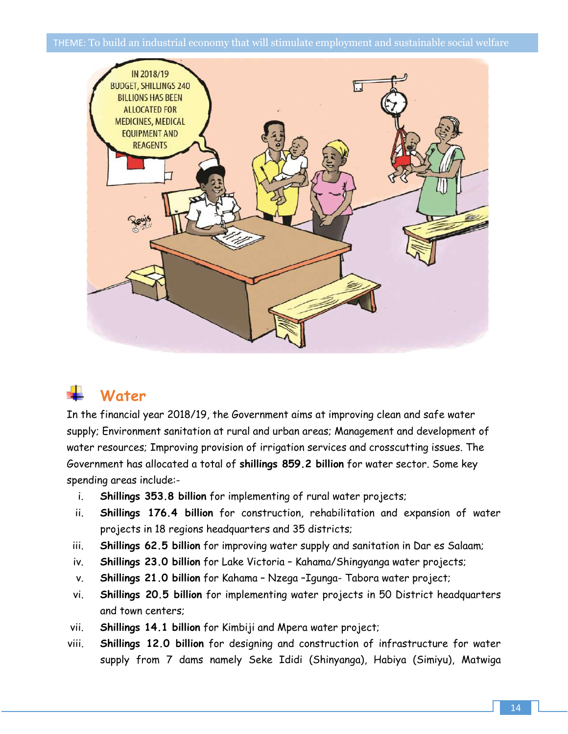

### **Water**

In the financial year 2018/19, the Government aims at improving clean and safe water supply; Environment sanitation at rural and urban areas; Management and development of water resources; Improving provision of irrigation services and crosscutting issues. The Government has allocated a total of **shillings 859.2 billion** for water sector. Some key spending areas include:-

- i. **Shillings 353.8 billion** for implementing of rural water projects;
- ii. **Shillings 176.4 billion** for construction, rehabilitation and expansion of water projects in 18 regions headquarters and 35 districts;
- iii. **Shillings 62.5 billion** for improving water supply and sanitation in Dar es Salaam;
- iv. **Shillings 23.0 billion** for Lake Victoria Kahama/Shingyanga water projects;
- v. **Shillings 21.0 billion** for Kahama Nzega –Igunga- Tabora water project;
- vi. **Shillings 20.5 billion** for implementing water projects in 50 District headquarters and town centers;
- vii. **Shillings 14.1 billion** for Kimbiji and Mpera water project;
- viii. **Shillings 12.0 billion** for designing and construction of infrastructure for water supply from 7 dams namely Seke Ididi (Shinyanga), Habiya (Simiyu), Matwiga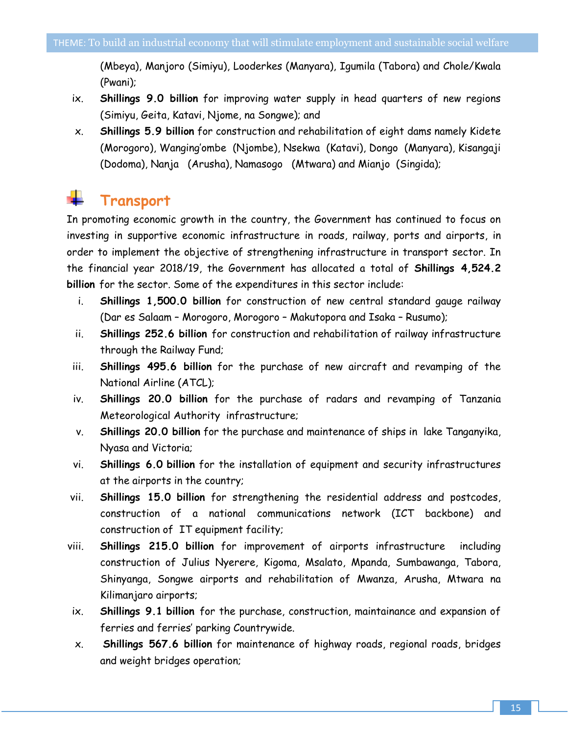(Mbeya), Manjoro (Simiyu), Looderkes (Manyara), Igumila (Tabora) and Chole/Kwala (Pwani);

- ix. **Shillings 9.0 billion** for improving water supply in head quarters of new regions (Simiyu, Geita, Katavi, Njome, na Songwe); and
- x. **Shillings 5.9 billion** for construction and rehabilitation of eight dams namely Kidete (Morogoro), Wanging'ombe (Njombe), Nsekwa (Katavi), Dongo (Manyara), Kisangaji (Dodoma), Nanja (Arusha), Namasogo (Mtwara) and Mianjo (Singida);

## **Transport**

In promoting economic growth in the country, the Government has continued to focus on investing in supportive economic infrastructure in roads, railway, ports and airports, in order to implement the objective of strengthening infrastructure in transport sector. In the financial year 2018/19, the Government has allocated a total of **Shillings 4,524.2 billion** for the sector. Some of the expenditures in this sector include:

- i. **Shillings 1,500.0 billion** for construction of new central standard gauge railway (Dar es Salaam – Morogoro, Morogoro – Makutopora and Isaka – Rusumo);
- ii. **Shillings 252.6 billion** for construction and rehabilitation of railway infrastructure through the Railway Fund;
- iii. **Shillings 495.6 billion** for the purchase of new aircraft and revamping of the National Airline (ATCL);
- iv. **Shillings 20.0 billion** for the purchase of radars and revamping of Tanzania Meteorological Authority infrastructure;
- v. **Shillings 20.0 billion** for the purchase and maintenance of ships in lake Tanganyika, Nyasa and Victoria;
- vi. **Shillings 6.0 billion** for the installation of equipment and security infrastructures at the airports in the country;
- vii. **Shillings 15.0 billion** for strengthening the residential address and postcodes, construction of a national communications network (ICT backbone) and construction of IT equipment facility;
- viii. **Shillings 215.0 billion** for improvement of airports infrastructure including construction of Julius Nyerere, Kigoma, Msalato, Mpanda, Sumbawanga, Tabora, Shinyanga, Songwe airports and rehabilitation of Mwanza, Arusha, Mtwara na Kilimanjaro airports;
- ix. **Shillings 9.1 billion** for the purchase, construction, maintainance and expansion of ferries and ferries' parking Countrywide.
- x. **Shillings 567.6 billion** for maintenance of highway roads, regional roads, bridges and weight bridges operation;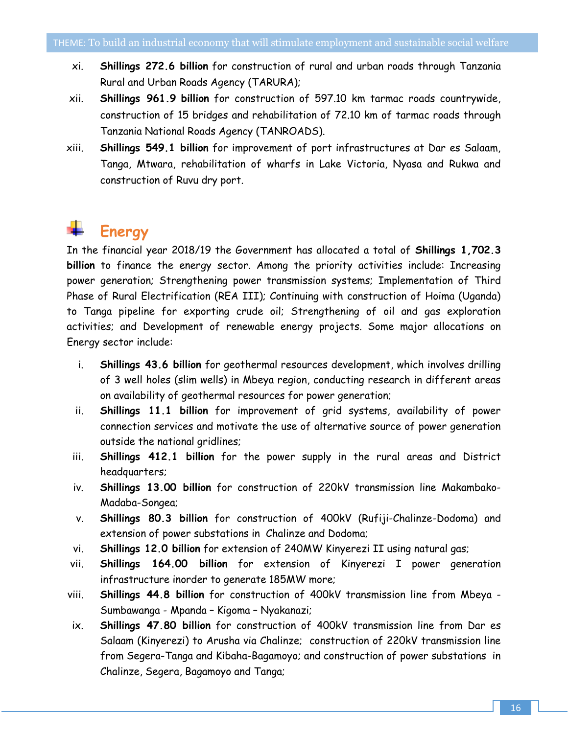- xi. **Shillings 272.6 billion** for construction of rural and urban roads through Tanzania Rural and Urban Roads Agency (TARURA);
- xii. **Shillings 961.9 billion** for construction of 597.10 km tarmac roads countrywide, construction of 15 bridges and rehabilitation of 72.10 km of tarmac roads through Tanzania National Roads Agency (TANROADS).
- xiii. **Shillings 549.1 billion** for improvement of port infrastructures at Dar es Salaam, Tanga, Mtwara, rehabilitation of wharfs in Lake Victoria, Nyasa and Rukwa and construction of Ruvu dry port.

## **Energy**

In the financial year 2018/19 the Government has allocated a total of **Shillings 1,702.3 billion** to finance the energy sector. Among the priority activities include: Increasing power generation; Strengthening power transmission systems; Implementation of Third Phase of Rural Electrification (REA III); Continuing with construction of Hoima (Uganda) to Tanga pipeline for exporting crude oil; Strengthening of oil and gas exploration activities; and Development of renewable energy projects. Some major allocations on Energy sector include:

- i. **Shillings 43.6 billion** for geothermal resources development, which involves drilling of 3 well holes (slim wells) in Mbeya region, conducting research in different areas on availability of geothermal resources for power generation;
- ii. **Shillings 11.1 billion** for improvement of grid systems, availability of power connection services and motivate the use of alternative source of power generation outside the national gridlines;
- iii. **Shillings 412.1 billion** for the power supply in the rural areas and District headquarters;
- iv. **Shillings 13.00 billion** for construction of 220kV transmission line Makambako-Madaba-Songea;
- v. **Shillings 80.3 billion** for construction of 400kV (Rufiji-Chalinze-Dodoma) and extension of power substations in Chalinze and Dodoma;
- vi. **Shillings 12.0 billion** for extension of 240MW Kinyerezi II using natural gas;
- vii. **Shillings 164.00 billion** for extension of Kinyerezi I power generation infrastructure inorder to generate 185MW more;
- viii. **Shillings 44.8 billion** for construction of 400kV transmission line from Mbeya Sumbawanga - Mpanda – Kigoma – Nyakanazi;
- ix. **Shillings 47.80 billion** for construction of 400kV transmission line from Dar es Salaam (Kinyerezi) to Arusha via Chalinze; construction of 220kV transmission line from Segera-Tanga and Kibaha-Bagamoyo; and construction of power substations in Chalinze, Segera, Bagamoyo and Tanga;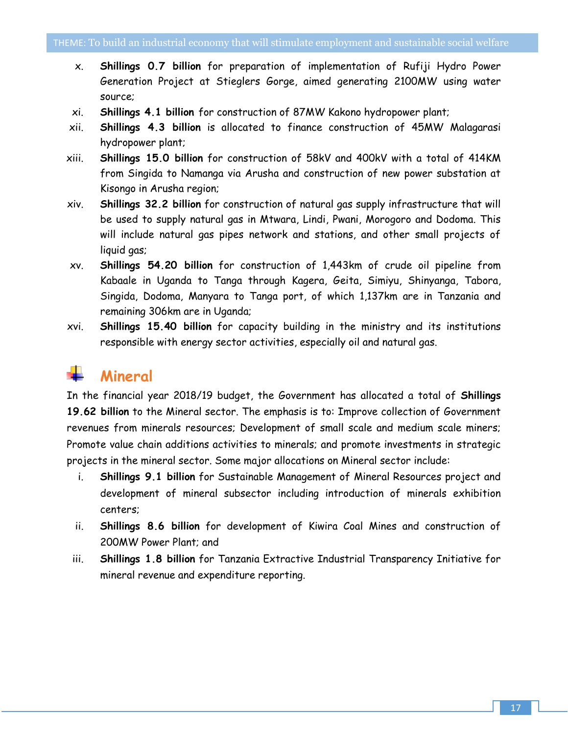- x. **Shillings 0.7 billion** for preparation of implementation of Rufiji Hydro Power Generation Project at Stieglers Gorge, aimed generating 2100MW using water source;
- xi. **Shillings 4.1 billion** for construction of 87MW Kakono hydropower plant;
- xii. **Shillings 4.3 billion** is allocated to finance construction of 45MW Malagarasi hydropower plant;
- xiii. **Shillings 15.0 billion** for construction of 58kV and 400kV with a total of 414KM from Singida to Namanga via Arusha and construction of new power substation at Kisongo in Arusha region;
- xiv. **Shillings 32.2 billion** for construction of natural gas supply infrastructure that will be used to supply natural gas in Mtwara, Lindi, Pwani, Morogoro and Dodoma. This will include natural gas pipes network and stations, and other small projects of liquid gas;
- xv. **Shillings 54.20 billion** for construction of 1,443km of crude oil pipeline from Kabaale in Uganda to Tanga through Kagera, Geita, Simiyu, Shinyanga, Tabora, Singida, Dodoma, Manyara to Tanga port, of which 1,137km are in Tanzania and remaining 306km are in Uganda;
- xvi. **Shillings 15.40 billion** for capacity building in the ministry and its institutions responsible with energy sector activities, especially oil and natural gas.

### **Mineral**

In the financial year 2018/19 budget, the Government has allocated a total of **Shillings 19.62 billion** to the Mineral sector. The emphasis is to: Improve collection of Government revenues from minerals resources; Development of small scale and medium scale miners; Promote value chain additions activities to minerals; and promote investments in strategic projects in the mineral sector. Some major allocations on Mineral sector include:

- i. **Shillings 9.1 billion** for Sustainable Management of Mineral Resources project and development of mineral subsector including introduction of minerals exhibition centers;
- ii. **Shillings 8.6 billion** for development of Kiwira Coal Mines and construction of 200MW Power Plant; and
- iii. **Shillings 1.8 billion** for Tanzania Extractive Industrial Transparency Initiative for mineral revenue and expenditure reporting.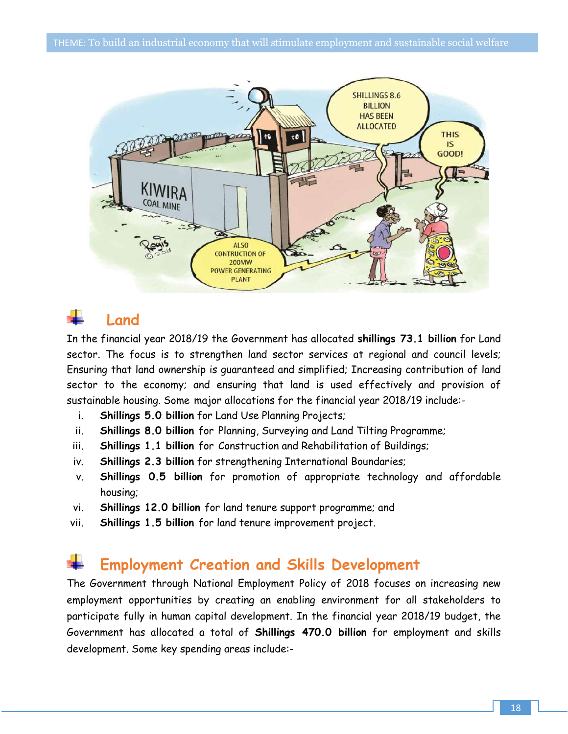

### **Land**

In the financial year 2018/19 the Government has allocated **shillings 73.1 billion** for Land sector. The focus is to strengthen land sector services at regional and council levels; Ensuring that land ownership is guaranteed and simplified; Increasing contribution of land sector to the economy; and ensuring that land is used effectively and provision of sustainable housing. Some major allocations for the financial year 2018/19 include:-

- i. **Shillings 5.0 billion** for Land Use Planning Projects;
- ii. **Shillings 8.0 billion** for Planning, Surveying and Land Tilting Programme;
- iii. **Shillings 1.1 billion** for Construction and Rehabilitation of Buildings;
- iv. **Shillings 2.3 billion** for strengthening International Boundaries;
- v. **Shillings 0.5 billion** for promotion of appropriate technology and affordable housing;
- vi. **Shillings 12.0 billion** for land tenure support programme; and
- vii. **Shillings 1.5 billion** for land tenure improvement project.

### **Employment Creation and Skills Development**

The Government through National Employment Policy of 2018 focuses on increasing new employment opportunities by creating an enabling environment for all stakeholders to participate fully in human capital development. In the financial year 2018/19 budget, the Government has allocated a total of **Shillings 470.0 billion** for employment and skills development. Some key spending areas include:-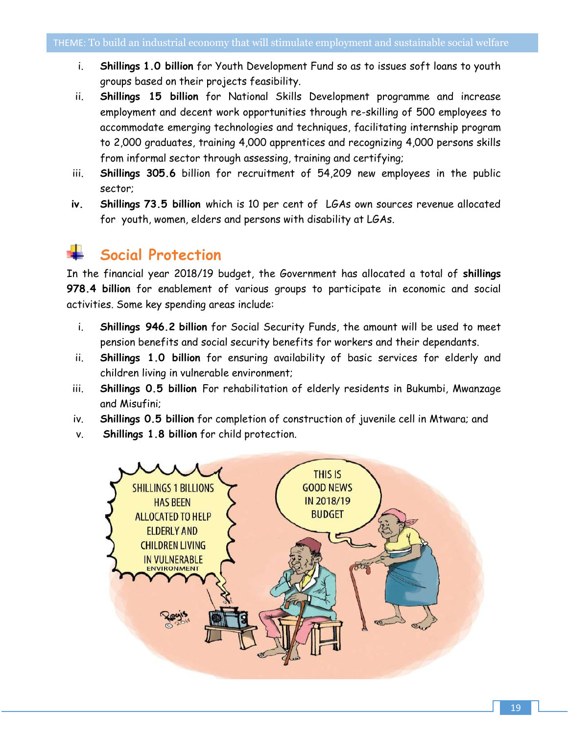- i. **Shillings 1.0 billion** for Youth Development Fund so as to issues soft loans to youth groups based on their projects feasibility.
- ii. **Shillings 15 billion** for National Skills Development programme and increase employment and decent work opportunities through re-skilling of 500 employees to accommodate emerging technologies and techniques, facilitating internship program to 2,000 graduates, training 4,000 apprentices and recognizing 4,000 persons skills from informal sector through assessing, training and certifying;
- iii. **Shillings 305.6** billion for recruitment of 54,209 new employees in the public sector;
- **iv. Shillings 73.5 billion** which is 10 per cent of LGAs own sources revenue allocated for youth, women, elders and persons with disability at LGAs.

### **Social Protection**

In the financial year 2018/19 budget, the Government has allocated a total of **shillings 978.4 billion** for enablement of various groups to participate in economic and social activities. Some key spending areas include:

- i. **Shillings 946.2 billion** for Social Security Funds, the amount will be used to meet pension benefits and social security benefits for workers and their dependants.
- ii. **Shillings 1.0 billion** for ensuring availability of basic services for elderly and children living in vulnerable environment;
- iii. **Shillings 0.5 billion** For rehabilitation of elderly residents in Bukumbi, Mwanzage and Misufini;
- iv. **Shillings 0.5 billion** for completion of construction of juvenile cell in Mtwara; and
- v. **Shillings 1.8 billion** for child protection.

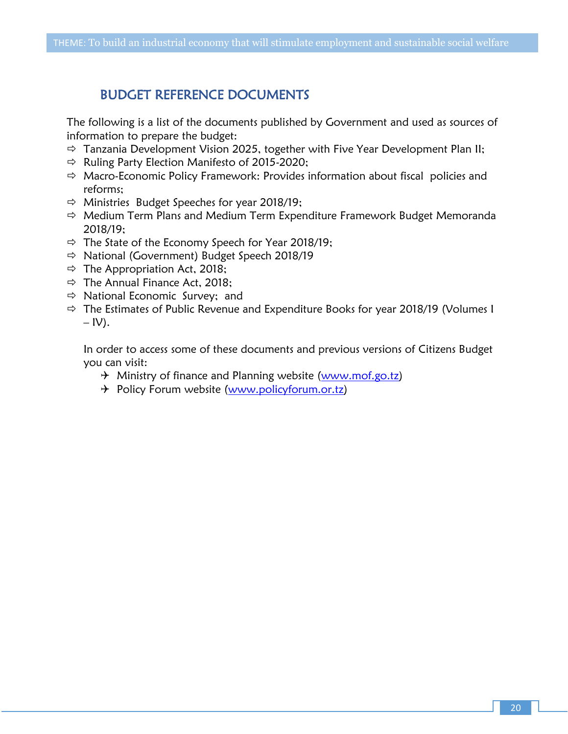#### BUDGET REFERENCE DOCUMENTS

The following is a list of the documents published by Government and used as sources of information to prepare the budget:

- $\Rightarrow$  Tanzania Development Vision 2025, together with Five Year Development Plan II;
- $\Rightarrow$  Ruling Party Election Manifesto of 2015-2020;
- $\Rightarrow$  Macro-Economic Policy Framework: Provides information about fiscal policies and reforms;
- $\Rightarrow$  Ministries Budget Speeches for year 2018/19;
- $\Rightarrow$  Medium Term Plans and Medium Term Expenditure Framework Budget Memoranda 2018/19;
- $\Rightarrow$  The State of the Economy Speech for Year 2018/19;
- $\Rightarrow$  National (Government) Budget Speech 2018/19
- $\Rightarrow$  The Appropriation Act, 2018;
- $\Rightarrow$  The Annual Finance Act, 2018;
- $\Rightarrow$  National Economic Survey; and
- The Estimates of Public Revenue and Expenditure Books for year 2018/19 (Volumes I  $-$  IV).

In order to access some of these documents and previous versions of Citizens Budget you can visit:

- $\rightarrow$  Ministry of finance and Planning website [\(www.mof.go.tz\)](http://www.mof.go.tz/)
- → Policy Forum website [\(www.policyforum.or.tz\)](http://www.policyforum.or.tz/)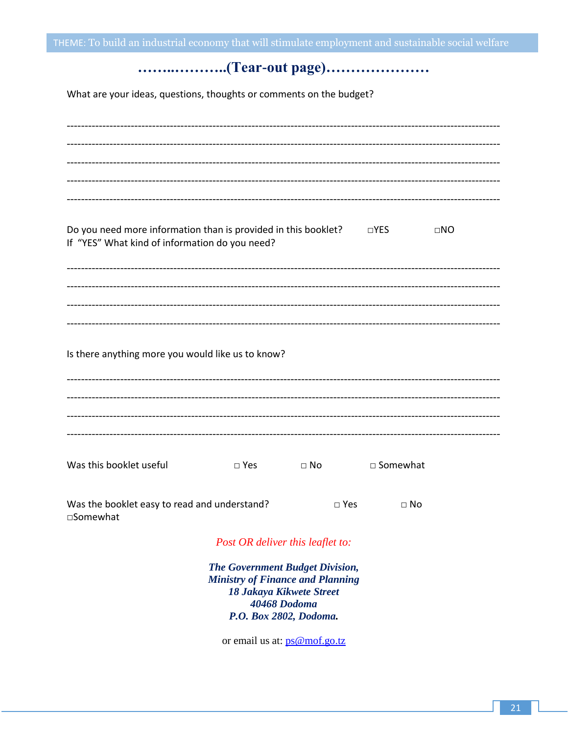### 

What are your ideas, questions, thoughts or comments on the budget?

| Do you need more information than is provided in this booklet? $\square$ YES<br>If "YES" What kind of information do you need?                          |               |           |               |            | $\square NO$ |
|---------------------------------------------------------------------------------------------------------------------------------------------------------|---------------|-----------|---------------|------------|--------------|
|                                                                                                                                                         |               |           |               |            |              |
|                                                                                                                                                         |               |           |               |            |              |
|                                                                                                                                                         |               |           |               |            |              |
|                                                                                                                                                         |               |           |               |            |              |
| Is there anything more you would like us to know?                                                                                                       |               |           |               |            |              |
|                                                                                                                                                         |               |           |               |            |              |
|                                                                                                                                                         |               |           |               |            |              |
|                                                                                                                                                         |               |           |               |            |              |
|                                                                                                                                                         |               |           |               |            |              |
| Was this booklet useful                                                                                                                                 | $\square$ Yes | $\Box$ No |               | □ Somewhat |              |
|                                                                                                                                                         |               |           |               |            |              |
| Was the booklet easy to read and understand?<br>□Somewhat                                                                                               |               |           | $\square$ Yes | $\Box$ No  |              |
| Post OR deliver this leaflet to:                                                                                                                        |               |           |               |            |              |
| <b>The Government Budget Division,</b><br><b>Ministry of Finance and Planning</b><br>18 Jakaya Kikwete Street<br>40468 Dodoma<br>P.O. Box 2802, Dodoma. |               |           |               |            |              |

or email us at: ps@mof.go.tz